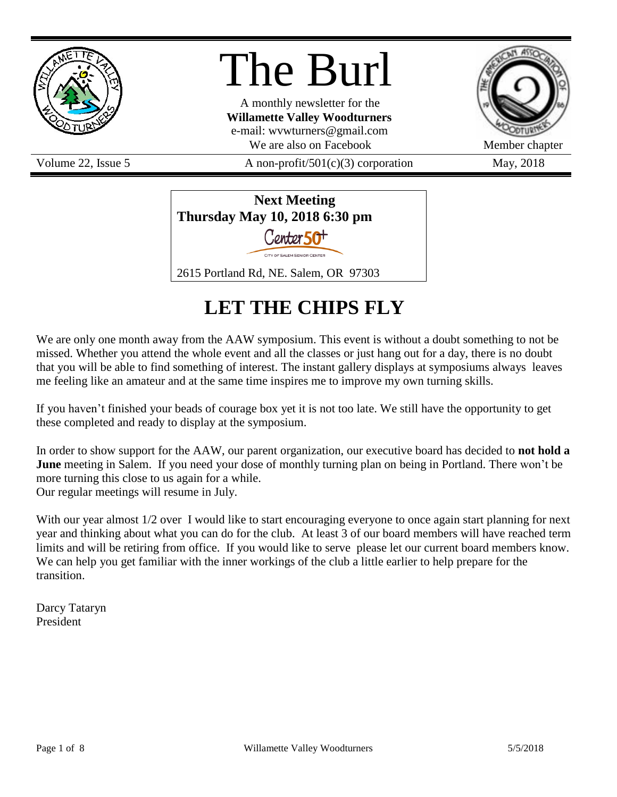

# The Burl

A monthly newsletter for the **Willamette Valley Woodturners** e-mail: wvwturners@gmail.com We are also on Facebook Member chapter

Volume 22, Issue 5  $A$  non-profit/501(c)(3) corporation May, 2018



# **LET THE CHIPS FLY**

We are only one month away from the AAW symposium. This event is without a doubt something to not be missed. Whether you attend the whole event and all the classes or just hang out for a day, there is no doubt that you will be able to find something of interest. The instant gallery displays at symposiums always leaves me feeling like an amateur and at the same time inspires me to improve my own turning skills.

If you haven't finished your beads of courage box yet it is not too late. We still have the opportunity to get these completed and ready to display at the symposium.

In order to show support for the AAW, our parent organization, our executive board has decided to **not hold a June** meeting in Salem. If you need your dose of monthly turning plan on being in Portland. There won't be more turning this close to us again for a while. Our regular meetings will resume in July.

With our year almost  $1/2$  over I would like to start encouraging everyone to once again start planning for next year and thinking about what you can do for the club. At least 3 of our board members will have reached term limits and will be retiring from office. If you would like to serve please let our current board members know. We can help you get familiar with the inner workings of the club a little earlier to help prepare for the transition.

Darcy Tataryn President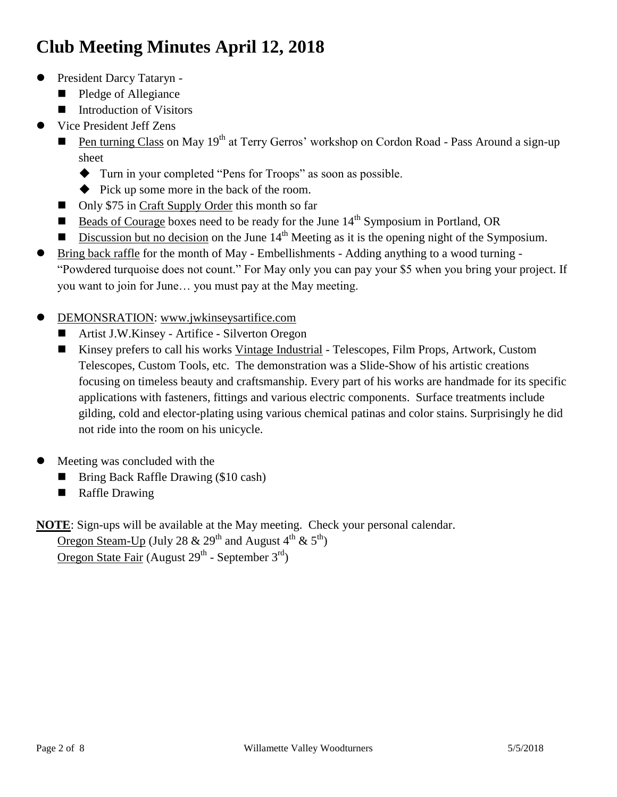# **Club Meeting Minutes April 12, 2018**

- President Darcy Tataryn
	- Pledge of Allegiance
	- Introduction of Visitors
- Vice President Jeff Zens
	- **Pen turning Class on May 19<sup>th</sup> at Terry Gerros' workshop on Cordon Road Pass Around a sign-up** sheet
		- Turn in your completed "Pens for Troops" as soon as possible.
		- $\blacklozenge$  Pick up some more in the back of the room.
	- Only \$75 in Craft Supply Order this month so far
	- Beads of Courage boxes need to be ready for the June  $14<sup>th</sup>$  Symposium in Portland, OR
	- Discussion but no decision on the June  $14<sup>th</sup>$  Meeting as it is the opening night of the Symposium.
- Bring back raffle for the month of May Embellishments Adding anything to a wood turning "Powdered turquoise does not count." For May only you can pay your \$5 when you bring your project. If you want to join for June… you must pay at the May meeting.
- DEMONSRATION: [www.jwkinseysartifice.com](http://www.jwkinseys.artifice.com/)
	- Artist J.W.Kinsey Artifice Silverton Oregon
	- Kinsey prefers to call his works Vintage Industrial Telescopes, Film Props, Artwork, Custom Telescopes, Custom Tools, etc. The demonstration was a Slide-Show of his artistic creations focusing on timeless beauty and craftsmanship. Every part of his works are handmade for its specific applications with fasteners, fittings and various electric components. Surface treatments include gilding, cold and elector-plating using various chemical patinas and color stains. Surprisingly he did not ride into the room on his unicycle.
- Meeting was concluded with the
	- Bring Back Raffle Drawing (\$10 cash)
	- **Raffle Drawing**

**NOTE**: Sign-ups will be available at the May meeting. Check your personal calendar.

Oregon Steam-Up (July 28 & 29<sup>th</sup> and August 4<sup>th</sup> & 5<sup>th</sup>) Oregon State Fair (August 29<sup>th</sup> - September 3<sup>rd</sup>)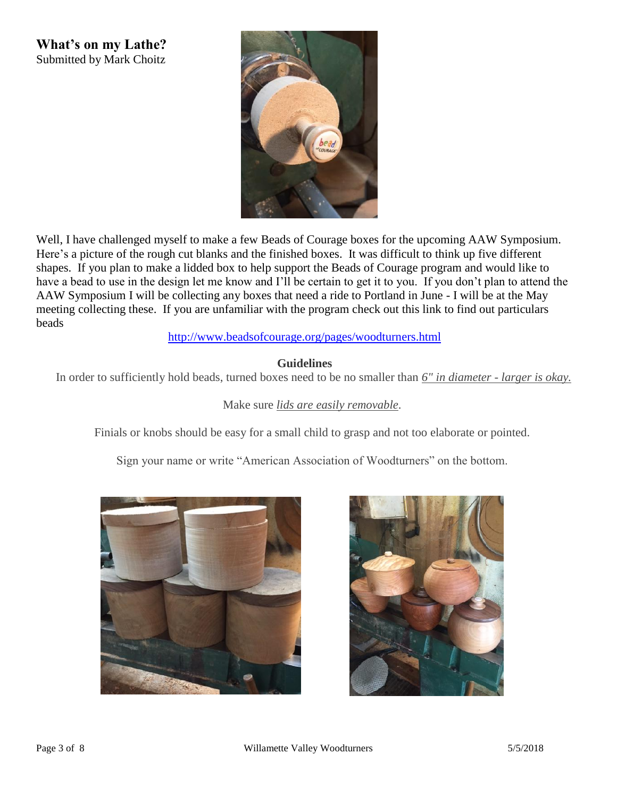**What's on my Lathe?** Submitted by Mark Choitz



Well, I have challenged myself to make a few Beads of Courage boxes for the upcoming AAW Symposium. Here's a picture of the rough cut blanks and the finished boxes. It was difficult to think up five different shapes. If you plan to make a lidded box to help support the Beads of Courage program and would like to have a bead to use in the design let me know and I'll be certain to get it to you. If you don't plan to attend the AAW Symposium I will be collecting any boxes that need a ride to Portland in June - I will be at the May meeting collecting these. If you are unfamiliar with the program check out this link to find out particulars beads

#### <http://www.beadsofcourage.org/pages/woodturners.html>

#### **Guidelines**

In order to sufficiently hold beads, turned boxes need to be no smaller than *6" in diameter - larger is okay.*

### Make sure *lids are easily removable*.

Finials or knobs should be easy for a small child to grasp and not too elaborate or pointed.

Sign your name or write "American Association of Woodturners" on the bottom.



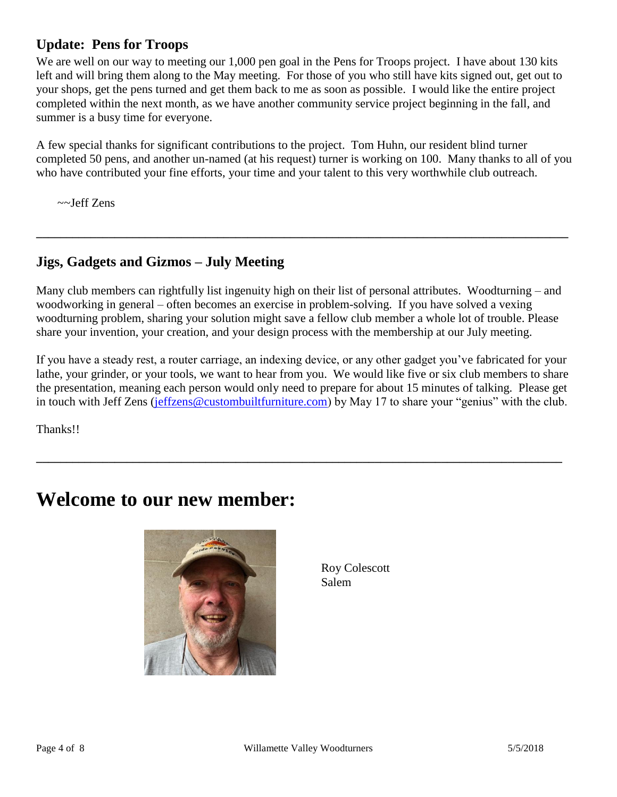# **Update: Pens for Troops**

We are well on our way to meeting our 1,000 pen goal in the Pens for Troops project. I have about 130 kits left and will bring them along to the May meeting. For those of you who still have kits signed out, get out to your shops, get the pens turned and get them back to me as soon as possible. I would like the entire project completed within the next month, as we have another community service project beginning in the fall, and summer is a busy time for everyone.

A few special thanks for significant contributions to the project. Tom Huhn, our resident blind turner completed 50 pens, and another un-named (at his request) turner is working on 100. Many thanks to all of you who have contributed your fine efforts, your time and your talent to this very worthwhile club outreach.

~~Jeff Zens

## **Jigs, Gadgets and Gizmos – July Meeting**

Many club members can rightfully list ingenuity high on their list of personal attributes. Woodturning – and woodworking in general – often becomes an exercise in problem-solving. If you have solved a vexing woodturning problem, sharing your solution might save a fellow club member a whole lot of trouble. Please share your invention, your creation, and your design process with the membership at our July meeting.

**\_\_\_\_\_\_\_\_\_\_\_\_\_\_\_\_\_\_\_\_\_\_\_\_\_\_\_\_\_\_\_\_\_\_\_\_\_\_\_\_\_\_\_\_\_\_\_\_\_\_\_\_\_\_\_\_\_\_\_\_\_\_\_\_\_\_\_\_\_\_\_\_\_\_\_\_\_\_\_\_\_\_\_\_\_\_\_\_**

If you have a steady rest, a router carriage, an indexing device, or any other gadget you've fabricated for your lathe, your grinder, or your tools, we want to hear from you. We would like five or six club members to share the presentation, meaning each person would only need to prepare for about 15 minutes of talking. Please get in touch with Jeff Zens [\(jeffzens@custombuiltfurniture.com\)](mailto:jeffzens@custombuiltfurniture.com) by May 17 to share your "genius" with the club.

**\_\_\_\_\_\_\_\_\_\_\_\_\_\_\_\_\_\_\_\_\_\_\_\_\_\_\_\_\_\_\_\_\_\_\_\_\_\_\_\_\_\_\_\_\_\_\_\_\_\_\_\_\_\_\_\_\_\_\_\_\_\_\_\_\_\_\_\_\_\_\_\_\_\_\_\_\_\_\_\_\_\_\_\_\_\_\_**

Thanks!!

# **Welcome to our new member:**



Roy Colescott Salem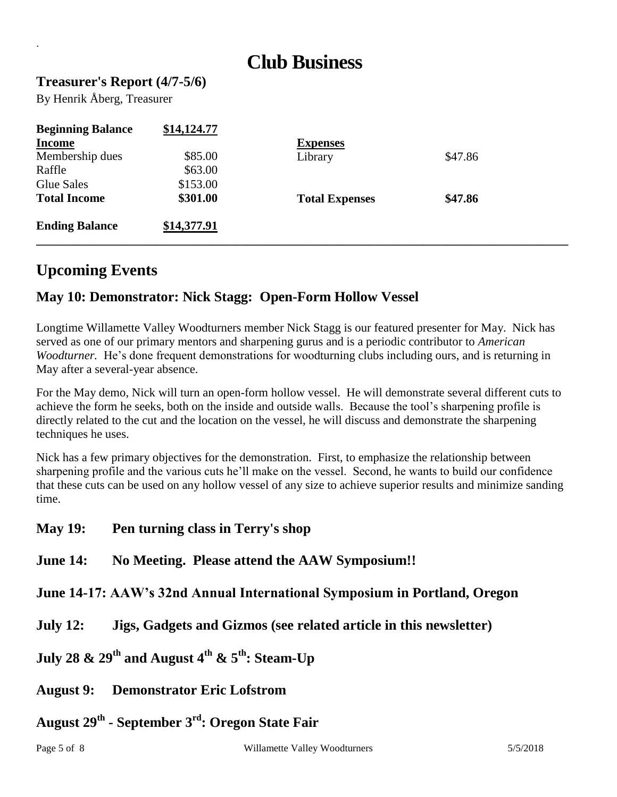# **Club Business**

### **Treasurer's Report (4/7-5/6)**

By Henrik Åberg, Treasurer

.

| <b>Beginning Balance</b> | \$14,124.77 |                       |         |  |
|--------------------------|-------------|-----------------------|---------|--|
| <b>Income</b>            |             | <b>Expenses</b>       |         |  |
| Membership dues          | \$85.00     | Library               | \$47.86 |  |
| Raffle                   | \$63.00     |                       |         |  |
| Glue Sales               | \$153.00    |                       |         |  |
| <b>Total Income</b>      | \$301.00    | <b>Total Expenses</b> | \$47.86 |  |
| <b>Ending Balance</b>    | \$14,377.91 |                       |         |  |

# **Upcoming Events**

## **May 10: Demonstrator: Nick Stagg: Open-Form Hollow Vessel**

Longtime Willamette Valley Woodturners member Nick Stagg is our featured presenter for May. Nick has served as one of our primary mentors and sharpening gurus and is a periodic contributor to *American Woodturner.* He's done frequent demonstrations for woodturning clubs including ours, and is returning in May after a several-year absence.

For the May demo, Nick will turn an open-form hollow vessel. He will demonstrate several different cuts to achieve the form he seeks, both on the inside and outside walls. Because the tool's sharpening profile is directly related to the cut and the location on the vessel, he will discuss and demonstrate the sharpening techniques he uses.

Nick has a few primary objectives for the demonstration. First, to emphasize the relationship between sharpening profile and the various cuts he'll make on the vessel. Second, he wants to build our confidence that these cuts can be used on any hollow vessel of any size to achieve superior results and minimize sanding time.

**May 19: Pen turning class in Terry's shop** 

### **June 14: No Meeting. Please attend the AAW Symposium!!**

**June 14-17: AAW's 32nd Annual International Symposium in Portland, Oregon**

- **July 12: Jigs, Gadgets and Gizmos (see related article in this newsletter)**
- **July 28 & 29th and August 4th & 5th: Steam-Up**
- **August 9: Demonstrator Eric Lofstrom**
- **August 29th - September 3rd: Oregon State Fair**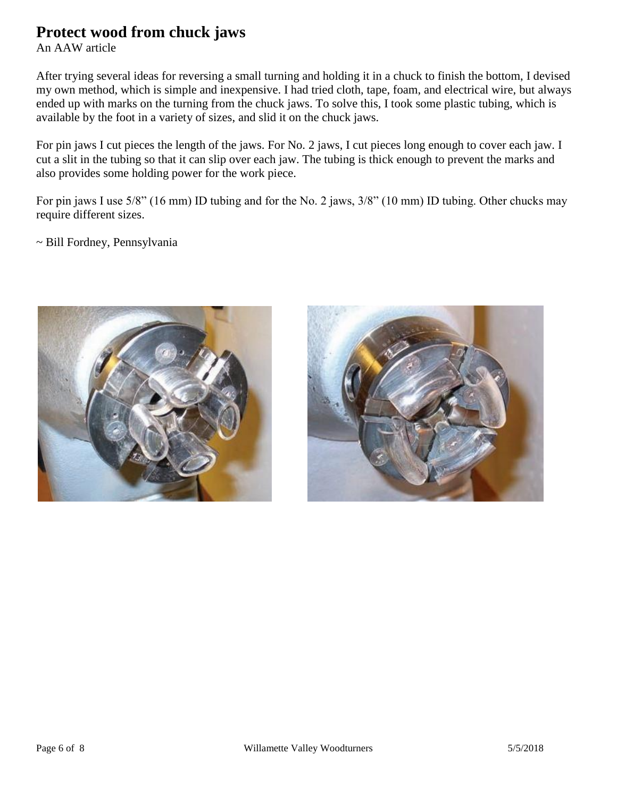# **Protect wood from chuck jaws**

An AAW article

After trying several ideas for reversing a small turning and holding it in a chuck to finish the bottom, I devised my own method, which is simple and inexpensive. I had tried cloth, tape, foam, and electrical wire, but always ended up with marks on the turning from the chuck jaws. To solve this, I took some plastic tubing, which is available by the foot in a variety of sizes, and slid it on the chuck jaws.

For pin jaws I cut pieces the length of the jaws. For No. 2 jaws, I cut pieces long enough to cover each jaw. I cut a slit in the tubing so that it can slip over each jaw. The tubing is thick enough to prevent the marks and also provides some holding power for the work piece.

For pin jaws I use 5/8" (16 mm) ID tubing and for the No. 2 jaws, 3/8" (10 mm) ID tubing. Other chucks may require different sizes.

~ Bill Fordney, Pennsylvania



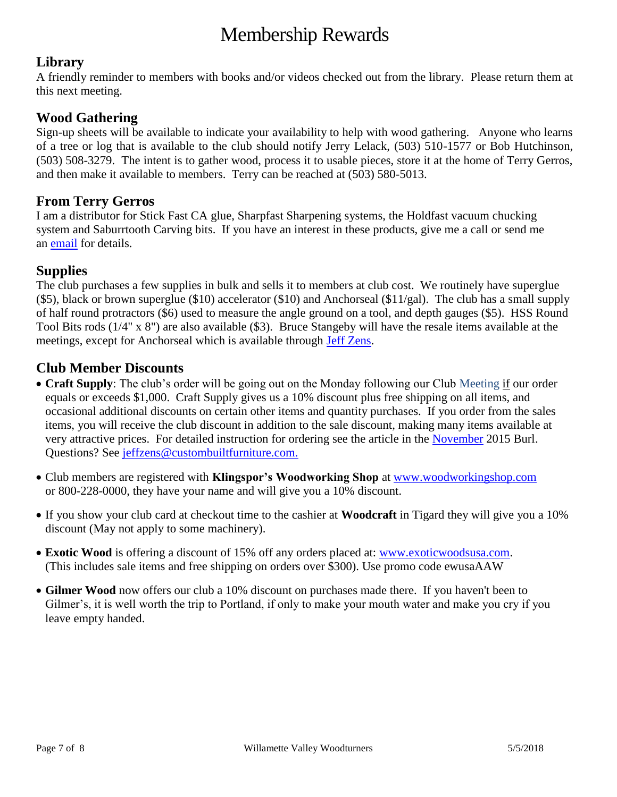# Membership Rewards

### **Library**

A friendly reminder to members with books and/or videos checked out from the library. Please return them at this next meeting.

### **Wood Gathering**

Sign-up sheets will be available to indicate your availability to help with wood gathering. Anyone who learns of a tree or log that is available to the club should notify Jerry Lelack, (503) 510-1577 or Bob Hutchinson, (503) 508-3279. The intent is to gather wood, process it to usable pieces, store it at the home of Terry Gerros, and then make it available to members. Terry can be reached at (503) 580-5013.

### **From Terry Gerros**

I am a distributor for Stick Fast CA glue, Sharpfast Sharpening systems, the Holdfast vacuum chucking system and Saburrtooth Carving bits. If you have an interest in these products, give me a call or send me an [email](mailto:gerrost@yahoo.com) for details.

### **Supplies**

The club purchases a few supplies in bulk and sells it to members at club cost. We routinely have superglue (\$5), black or brown superglue (\$10) accelerator (\$10) and Anchorseal (\$11/gal). The club has a small supply of half round protractors (\$6) used to measure the angle ground on a tool, and depth gauges (\$5). HSS Round Tool Bits rods (1/4" x 8") are also available (\$3). Bruce Stangeby will have the resale items available at the meetings, except for Anchorseal which is available through [Jeff Zens.](mailto:jszens@custombuiltfurniture.com)

### **Club Member Discounts**

- **Craft Supply**: The club's order will be going out on the Monday following our Club Meeting if our order equals or exceeds \$1,000. Craft Supply gives us a 10% discount plus free shipping on all items, and occasional additional discounts on certain other items and quantity purchases. If you order from the sales items, you will receive the club discount in addition to the sale discount, making many items available at very attractive prices. For detailed instruction for ordering see the article in the [November](http://www.willamettevalleywoodturners.com/newsletters/2015_11_WVW_Newsletter.pdf) 2015 Burl. Questions? See [jeffzens@custombuiltfurniture.com.](mailto:jeffzens@custombuiltfurniture.com.)
- Club members are registered with **Klingspor's Woodworking Shop** at [www.woodworkingshop.com](http://www.woodworkingshop.com/)  or 800-228-0000, they have your name and will give you a 10% discount.
- If you show your club card at checkout time to the cashier at **Woodcraft** in Tigard they will give you a 10% discount (May not apply to some machinery).
- **Exotic Wood** is offering a discount of 15% off any orders placed at: [www.exoticwoodsusa.com.](http://www.exoticwoodsusa.com/) (This includes sale items and free shipping on orders over \$300). Use promo code ewusaAAW
- **Gilmer Wood** now offers our club a 10% discount on purchases made there. If you haven't been to Gilmer's, it is well worth the trip to Portland, if only to make your mouth water and make you cry if you leave empty handed.